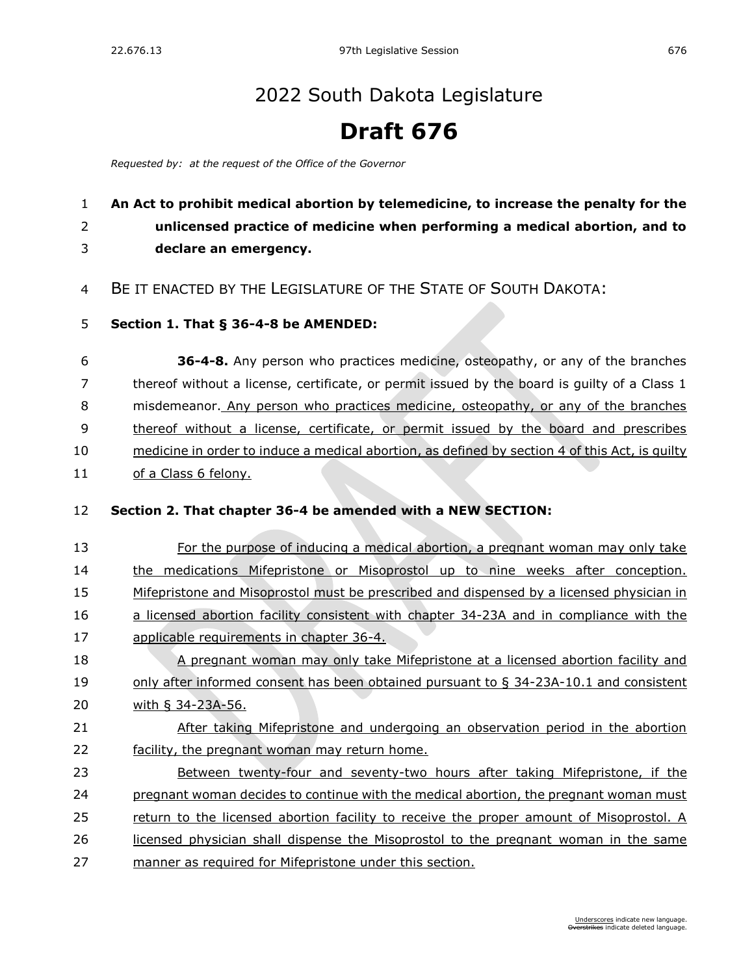## [2022 South Dakota Legislature](https://sdlegislature.gov/Session/Bills/64)

## **Draft 676**

*Requested by: at the request of the Office of the Governor*

## **An Act to prohibit medical abortion by telemedicine, to increase the penalty for the unlicensed practice of medicine when performing a medical abortion, and to declare an emergency.**

BE IT ENACTED BY THE LEGISLATURE OF THE STATE OF SOUTH DAKOTA:

**Section 1. [That § 36-4-8 be AMENDED:](https://sdlegislature.gov/Statutes?Statute=36-4-8)**

 **[36-4-8.](https://sdlegislature.gov/Statutes/Codified_Laws/DisplayStatute.aspx?Type=Statute&Statute=36-4-8)** Any person who practices medicine, osteopathy, or any of the branches thereof without a license, certificate, or permit issued by the board is guilty of a Class 1 misdemeanor. Any person who practices medicine, osteopathy, or any of the branches thereof without a license, certificate, or permit issued by the board and prescribes medicine in order to induce a medical abortion, as defined by section 4 of this Act, is guilty 11 of a Class 6 felony.

- **Section 2. That chapter [36-4](https://sdlegislature.gov/Statutes?Statute=36-4) be amended with a NEW SECTION:**
- For the purpose of inducing a medical abortion, a pregnant woman may only take the medications Mifepristone or Misoprostol up to nine weeks after conception. Mifepristone and Misoprostol must be prescribed and dispensed by a licensed physician in a licensed abortion facility consistent with chapter [34-23A](https://sdlegislature.gov/Statutes?Statute=34-23A) and in compliance with the applicable requirements in chapter [36-4.](https://sdlegislature.gov/Statutes?Statute=36-4)
- A pregnant woman may only take Mifepristone at a licensed abortion facility and only after informed consent has been obtained pursuant to § [34-23A-10.1](https://sdlegislature.gov/Statutes?Statute=34-23A-10.1) and consistent with § [34-23A-56.](https://sdlegislature.gov/Statutes?Statute=34-23A-56)
- After taking Mifepristone and undergoing an observation period in the abortion facility, the pregnant woman may return home.
- Between twenty-four and seventy-two hours after taking Mifepristone, if the pregnant woman decides to continue with the medical abortion, the pregnant woman must return to the licensed abortion facility to receive the proper amount of Misoprostol. A licensed physician shall dispense the Misoprostol to the pregnant woman in the same manner as required for Mifepristone under this section.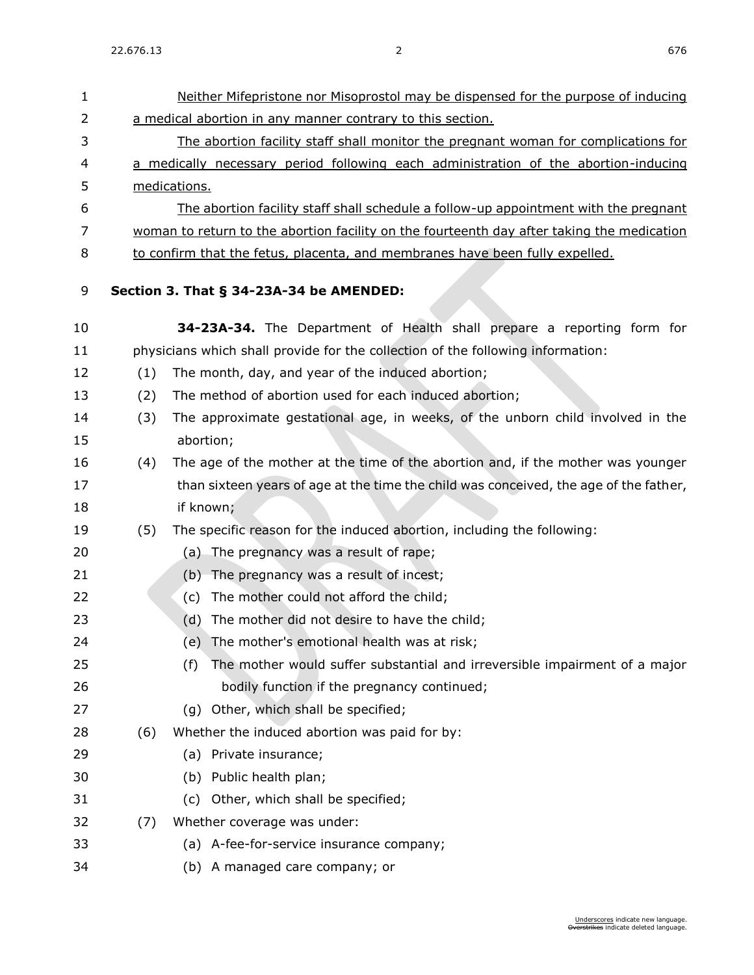| $\mathbf{1}$ |     | Neither Mifepristone nor Misoprostol may be dispensed for the purpose of inducing          |
|--------------|-----|--------------------------------------------------------------------------------------------|
| 2            |     | a medical abortion in any manner contrary to this section.                                 |
| 3            |     | The abortion facility staff shall monitor the pregnant woman for complications for         |
| 4            |     | a medically necessary period following each administration of the abortion-inducing        |
| 5            |     | medications.                                                                               |
| 6            |     | The abortion facility staff shall schedule a follow-up appointment with the pregnant       |
| 7            |     | woman to return to the abortion facility on the fourteenth day after taking the medication |
| 8            |     | to confirm that the fetus, placenta, and membranes have been fully expelled.               |
| 9            |     | Section 3. That § 34-23A-34 be AMENDED:                                                    |
| 10           |     | 34-23A-34. The Department of Health shall prepare a reporting form for                     |
| 11           |     | physicians which shall provide for the collection of the following information:            |
| 12           | (1) | The month, day, and year of the induced abortion;                                          |
| 13           | (2) | The method of abortion used for each induced abortion;                                     |
| 14           | (3) | The approximate gestational age, in weeks, of the unborn child involved in the             |
| 15           |     | abortion;                                                                                  |
| 16           | (4) | The age of the mother at the time of the abortion and, if the mother was younger           |
| 17           |     | than sixteen years of age at the time the child was conceived, the age of the father,      |
| 18           |     | if known;                                                                                  |
| 19           | (5) | The specific reason for the induced abortion, including the following:                     |
| 20           |     | (a) The pregnancy was a result of rape;                                                    |
| 21           |     | (b) The pregnancy was a result of incest;                                                  |
| 22           |     | The mother could not afford the child;<br>(c)                                              |
| 23           |     | The mother did not desire to have the child;<br>(d)                                        |
| 24           |     | The mother's emotional health was at risk;<br>(e)                                          |
| 25           |     | The mother would suffer substantial and irreversible impairment of a major<br>(f)          |
| 26           |     | bodily function if the pregnancy continued;                                                |
| 27           |     | (g) Other, which shall be specified;                                                       |
| 28           | (6) | Whether the induced abortion was paid for by:                                              |
| 29           |     | (a) Private insurance;                                                                     |
| 30           |     | (b) Public health plan;                                                                    |
| 31           |     | Other, which shall be specified;<br>(c)                                                    |
| 32           | (7) | Whether coverage was under:                                                                |
| 33           |     | (a) A-fee-for-service insurance company;                                                   |
| 34           |     | (b) A managed care company; or                                                             |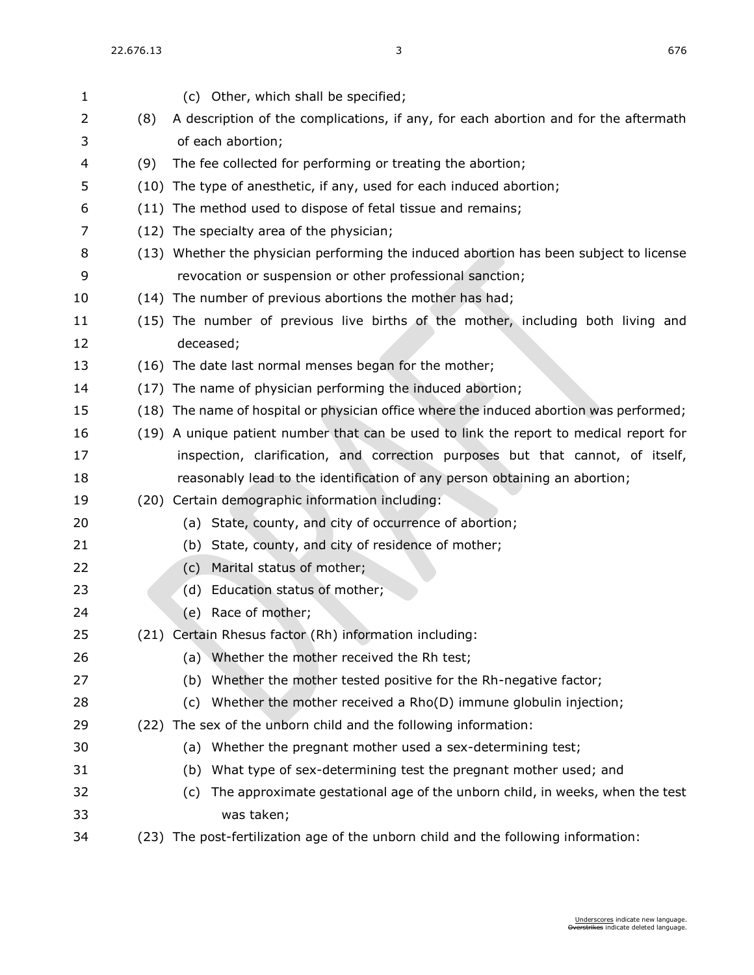| 1  |     | (c) Other, which shall be specified;                                                    |
|----|-----|-----------------------------------------------------------------------------------------|
| 2  | (8) | A description of the complications, if any, for each abortion and for the aftermath     |
| 3  |     | of each abortion;                                                                       |
| 4  | (9) | The fee collected for performing or treating the abortion;                              |
| 5  |     | (10) The type of anesthetic, if any, used for each induced abortion;                    |
| 6  |     | (11) The method used to dispose of fetal tissue and remains;                            |
| 7  |     | (12) The specialty area of the physician;                                               |
| 8  |     | (13) Whether the physician performing the induced abortion has been subject to license  |
| 9  |     | revocation or suspension or other professional sanction;                                |
| 10 |     | (14) The number of previous abortions the mother has had;                               |
| 11 |     | (15) The number of previous live births of the mother, including both living and        |
| 12 |     | deceased;                                                                               |
| 13 |     | (16) The date last normal menses began for the mother;                                  |
| 14 |     | (17) The name of physician performing the induced abortion;                             |
| 15 |     | (18) The name of hospital or physician office where the induced abortion was performed; |
| 16 |     | (19) A unique patient number that can be used to link the report to medical report for  |
| 17 |     | inspection, clarification, and correction purposes but that cannot, of itself,          |
| 18 |     | reasonably lead to the identification of any person obtaining an abortion;              |
| 19 |     | (20) Certain demographic information including:                                         |
| 20 |     | (a) State, county, and city of occurrence of abortion;                                  |
| 21 |     | State, county, and city of residence of mother;<br>(b)                                  |
| 22 |     | Marital status of mother;<br>(c)                                                        |
| 23 |     | Education status of mother;<br>(d)                                                      |
| 24 |     | Race of mother;<br>(e)                                                                  |
| 25 |     | (21) Certain Rhesus factor (Rh) information including:                                  |
| 26 |     | (a) Whether the mother received the Rh test;                                            |
| 27 |     | Whether the mother tested positive for the Rh-negative factor;<br>(b)                   |
| 28 |     | Whether the mother received a Rho(D) immune globulin injection;<br>(c)                  |
| 29 |     | (22) The sex of the unborn child and the following information:                         |
| 30 |     | Whether the pregnant mother used a sex-determining test;<br>(a)                         |
| 31 |     | What type of sex-determining test the pregnant mother used; and<br>(b)                  |
| 32 |     | The approximate gestational age of the unborn child, in weeks, when the test<br>(C)     |
| 33 |     | was taken;                                                                              |
| 34 |     | (23) The post-fertilization age of the unborn child and the following information:      |